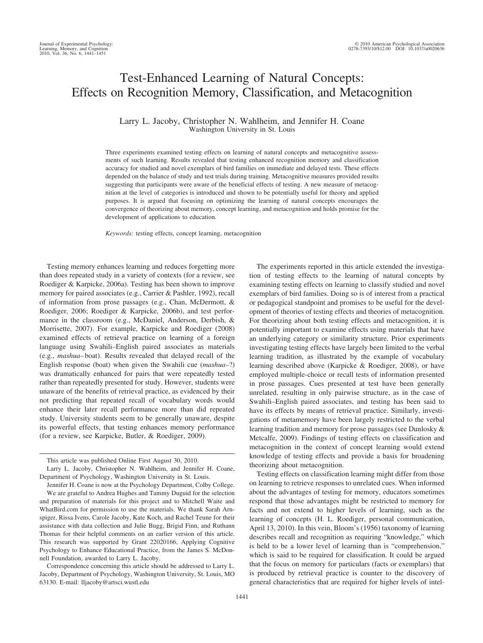# Test-Enhanced Learning of Natural Concepts: Effects on Recognition Memory, Classification, and Metacognition

# Larry L. Jacoby, Christopher N. Wahlheim, and Jennifer H. Coane Washington University in St. Louis

Three experiments examined testing effects on learning of natural concepts and metacognitive assessments of such learning. Results revealed that testing enhanced recognition memory and classification accuracy for studied and novel exemplars of bird families on immediate and delayed tests. These effects depended on the balance of study and test trials during training. Metacognitive measures provided results suggesting that participants were aware of the beneficial effects of testing. A new measure of metacognition at the level of categories is introduced and shown to be potentially useful for theory and applied purposes. It is argued that focusing on optimizing the learning of natural concepts encourages the convergence of theorizing about memory, concept learning, and metacognition and holds promise for the development of applications to education.

*Keywords:* testing effects, concept learning, metacognition

Testing memory enhances learning and reduces forgetting more than does repeated study in a variety of contexts (for a review, see Roediger & Karpicke, 2006a). Testing has been shown to improve memory for paired associates (e.g., Carrier & Pashler, 1992), recall of information from prose passages (e.g., Chan, McDermott, & Roediger, 2006; Roediger & Karpicke, 2006b), and test performance in the classroom (e.g., McDaniel, Anderson, Derbish, & Morrisette, 2007). For example, Karpicke and Roediger (2008) examined effects of retrieval practice on learning of a foreign language using Swahili–English paired associates as materials (e.g., *mashua*– boat). Results revealed that delayed recall of the English response (boat) when given the Swahili cue (*mashua–*?) was dramatically enhanced for pairs that were repeatedly tested rather than repeatedly presented for study. However, students were unaware of the benefits of retrieval practice, as evidenced by their not predicting that repeated recall of vocabulary words would enhance their later recall performance more than did repeated study. University students seem to be generally unaware, despite its powerful effects, that testing enhances memory performance (for a review, see Karpicke, Butler, & Roediger, 2009).

Correspondence concerning this article should be addressed to Larry L. Jacoby, Department of Psychology, Washington University, St. Louis, MO 63130. E-mail: lljacoby@artsci.wustl.edu

The experiments reported in this article extended the investigation of testing effects to the learning of natural concepts by examining testing effects on learning to classify studied and novel exemplars of bird families. Doing so is of interest from a practical or pedagogical standpoint and promises to be useful for the development of theories of testing effects and theories of metacognition. For theorizing about both testing effects and metacognition, it is potentially important to examine effects using materials that have an underlying category or similarity structure. Prior experiments investigating testing effects have largely been limited to the verbal learning tradition, as illustrated by the example of vocabulary learning described above (Karpicke & Roediger, 2008), or have employed multiple-choice or recall tests of information presented in prose passages. Cues presented at test have been generally unrelated, resulting in only pairwise structure, as in the case of Swahili–English paired associates, and testing has been said to have its effects by means of retrieval practice. Similarly, investigations of metamemory have been largely restricted to the verbal learning tradition and memory for prose passages (see Dunlosky & Metcalfe, 2009). Findings of testing effects on classification and metacognition in the context of concept learning would extend knowledge of testing effects and provide a basis for broadening theorizing about metacognition.

Testing effects on classification learning might differ from those on learning to retrieve responses to unrelated cues. When informed about the advantages of testing for memory, educators sometimes respond that those advantages might be restricted to memory for facts and not extend to higher levels of learning, such as the learning of concepts (H. L. Roediger, personal communication, April 13, 2010). In this vein, Bloom's (1956) taxonomy of learning describes recall and recognition as requiring "knowledge," which is held to be a lower level of learning than is "comprehension," which is said to be required for classification. It could be argued that the focus on memory for particulars (facts or exemplars) that is produced by retrieval practice is counter to the discovery of general characteristics that are required for higher levels of intel-

This article was published Online First August 30, 2010.

Larry L. Jacoby, Christopher N. Wahlheim, and Jennifer H. Coane, Department of Psychology, Washington University in St. Louis.

Jennifer H. Coane is now at the Psychology Department, Colby College.

We are grateful to Andrea Hughes and Tammy Duguid for the selection and preparation of materials for this project and to Mitchell Waite and WhatBird.com for permission to use the materials. We thank Sarah Arnspiger, Rissa Ivens, Carole Jacoby, Kate Koch, and Rachel Teune for their assistance with data collection and Julie Bugg, Brigid Finn, and Ruthann Thomas for their helpful comments on an earlier version of this article. This research was supported by Grant 22020166, Applying Cognitive Psychology to Enhance Educational Practice, from the James S. McDonnell Foundation, awarded to Larry L. Jacoby.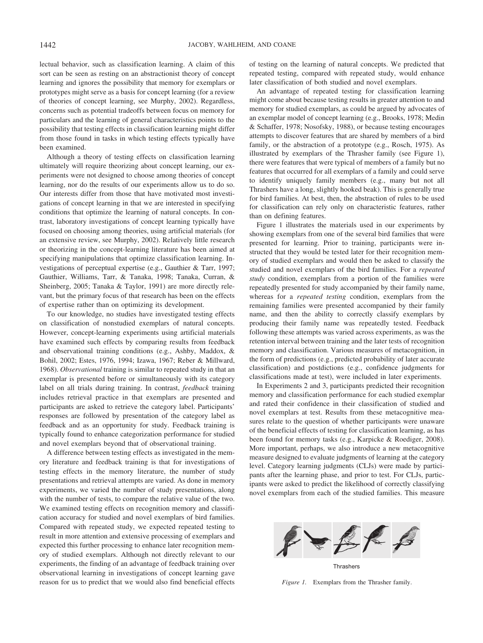lectual behavior, such as classification learning. A claim of this sort can be seen as resting on an abstractionist theory of concept learning and ignores the possibility that memory for exemplars or prototypes might serve as a basis for concept learning (for a review of theories of concept learning, see Murphy, 2002). Regardless, concerns such as potential tradeoffs between focus on memory for particulars and the learning of general characteristics points to the possibility that testing effects in classification learning might differ from those found in tasks in which testing effects typically have been examined.

Although a theory of testing effects on classification learning ultimately will require theorizing about concept learning, our experiments were not designed to choose among theories of concept learning, nor do the results of our experiments allow us to do so. Our interests differ from those that have motivated most investigations of concept learning in that we are interested in specifying conditions that optimize the learning of natural concepts. In contrast, laboratory investigations of concept learning typically have focused on choosing among theories, using artificial materials (for an extensive review, see Murphy, 2002). Relatively little research or theorizing in the concept-learning literature has been aimed at specifying manipulations that optimize classification learning. Investigations of perceptual expertise (e.g., Gauthier & Tarr, 1997; Gauthier, Williams, Tarr, & Tanaka, 1998; Tanaka, Curran, & Sheinberg, 2005; Tanaka & Taylor, 1991) are more directly relevant, but the primary focus of that research has been on the effects of expertise rather than on optimizing its development.

To our knowledge, no studies have investigated testing effects on classification of nonstudied exemplars of natural concepts. However, concept-learning experiments using artificial materials have examined such effects by comparing results from feedback and observational training conditions (e.g., Ashby, Maddox, & Bohil, 2002; Estes, 1976, 1994; Izawa, 1967; Reber & Millward, 1968). *Observational* training is similar to repeated study in that an exemplar is presented before or simultaneously with its category label on all trials during training. In contrast, *feedback* training includes retrieval practice in that exemplars are presented and participants are asked to retrieve the category label. Participants' responses are followed by presentation of the category label as feedback and as an opportunity for study. Feedback training is typically found to enhance categorization performance for studied and novel exemplars beyond that of observational training.

A difference between testing effects as investigated in the memory literature and feedback training is that for investigations of testing effects in the memory literature, the number of study presentations and retrieval attempts are varied. As done in memory experiments, we varied the number of study presentations, along with the number of tests, to compare the relative value of the two. We examined testing effects on recognition memory and classification accuracy for studied and novel exemplars of bird families. Compared with repeated study, we expected repeated testing to result in more attention and extensive processing of exemplars and expected this further processing to enhance later recognition memory of studied exemplars. Although not directly relevant to our experiments, the finding of an advantage of feedback training over observational learning in investigations of concept learning gave reason for us to predict that we would also find beneficial effects

of testing on the learning of natural concepts. We predicted that repeated testing, compared with repeated study, would enhance later classification of both studied and novel exemplars.

An advantage of repeated testing for classification learning might come about because testing results in greater attention to and memory for studied exemplars, as could be argued by advocates of an exemplar model of concept learning (e.g., Brooks, 1978; Medin & Schaffer, 1978; Nosofsky, 1988), or because testing encourages attempts to discover features that are shared by members of a bird family, or the abstraction of a prototype (e.g., Rosch, 1975). As illustrated by exemplars of the Thrasher family (see Figure 1), there were features that were typical of members of a family but no features that occurred for all exemplars of a family and could serve to identify uniquely family members (e.g., many but not all Thrashers have a long, slightly hooked beak). This is generally true for bird families. At best, then, the abstraction of rules to be used for classification can rely only on characteristic features, rather than on defining features.

Figure 1 illustrates the materials used in our experiments by showing exemplars from one of the several bird families that were presented for learning. Prior to training, participants were instructed that they would be tested later for their recognition memory of studied exemplars and would then be asked to classify the studied and novel exemplars of the bird families. For a *repeated study* condition, exemplars from a portion of the families were repeatedly presented for study accompanied by their family name, whereas for a *repeated testing* condition, exemplars from the remaining families were presented accompanied by their family name, and then the ability to correctly classify exemplars by producing their family name was repeatedly tested. Feedback following these attempts was varied across experiments, as was the retention interval between training and the later tests of recognition memory and classification. Various measures of metacognition, in the form of predictions (e.g., predicted probability of later accurate classification) and postdictions (e.g., confidence judgments for classifications made at test), were included in later experiments.

In Experiments 2 and 3, participants predicted their recognition memory and classification performance for each studied exemplar and rated their confidence in their classification of studied and novel exemplars at test. Results from these metacognitive measures relate to the question of whether participants were unaware of the beneficial effects of testing for classification learning, as has been found for memory tasks (e.g., Karpicke & Roediger, 2008). More important, perhaps, we also introduce a new metacognitive measure designed to evaluate judgments of learning at the category level. Category learning judgments (CLJs) were made by participants after the learning phase, and prior to test. For CLJs, participants were asked to predict the likelihood of correctly classifying novel exemplars from each of the studied families. This measure



*Figure 1.* Exemplars from the Thrasher family.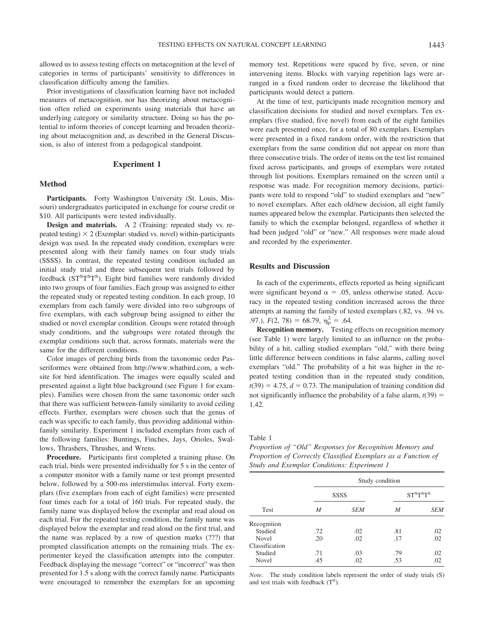allowed us to assess testing effects on metacognition at the level of categories in terms of participants' sensitivity to differences in classification difficulty among the families.

Prior investigations of classification learning have not included measures of metacognition, nor has theorizing about metacognition often relied on experiments using materials that have an underlying category or similarity structure. Doing so has the potential to inform theories of concept learning and broaden theorizing about metacognition and, as described in the General Discussion, is also of interest from a pedagogical standpoint.

## **Experiment 1**

## **Method**

**Participants.** Forty Washington University (St. Louis, Missouri) undergraduates participated in exchange for course credit or \$10. All participants were tested individually.

**Design and materials.** A 2 (Training: repeated study vs. repeated testing)  $\times$  2 (Exemplar: studied vs. novel) within-participants design was used. In the repeated study condition, exemplars were presented along with their family names on four study trials (SSSS). In contrast, the repeated testing condition included an initial study trial and three subsequent test trials followed by feedback (ST<sup>S</sup>T<sup>S</sup>T<sup>S</sup>). Eight bird families were randomly divided into two groups of four families. Each group was assigned to either the repeated study or repeated testing condition. In each group, 10 exemplars from each family were divided into two subgroups of five exemplars, with each subgroup being assigned to either the studied or novel exemplar condition. Groups were rotated through study conditions, and the subgroups were rotated through the exemplar conditions such that, across formats, materials were the same for the different conditions.

Color images of perching birds from the taxonomic order Passeriformes were obtained from http://www.whatbird.com, a website for bird identification. The images were equally scaled and presented against a light blue background (see Figure 1 for examples). Families were chosen from the same taxonomic order such that there was sufficient between-family similarity to avoid ceiling effects. Further, exemplars were chosen such that the genus of each was specific to each family, thus providing additional withinfamily similarity. Experiment 1 included exemplars from each of the following families: Buntings, Finches, Jays, Orioles, Swallows, Thrashers, Thrushes, and Wrens.

**Procedure.** Participants first completed a training phase. On each trial, birds were presented individually for 5 s in the center of a computer monitor with a family name or test prompt presented below, followed by a 500-ms interstimulus interval. Forty exemplars (five exemplars from each of eight families) were presented four times each for a total of 160 trials. For repeated study, the family name was displayed below the exemplar and read aloud on each trial. For the repeated testing condition, the family name was displayed below the exemplar and read aloud on the first trial, and the name was replaced by a row of question marks (???) that prompted classification attempts on the remaining trials. The experimenter keyed the classification attempts into the computer. Feedback displaying the message "correct" or "incorrect" was then presented for 1.5 s along with the correct family name. Participants were encouraged to remember the exemplars for an upcoming memory test. Repetitions were spaced by five, seven, or nine intervening items. Blocks with varying repetition lags were arranged in a fixed random order to decrease the likelihood that participants would detect a pattern.

At the time of test, participants made recognition memory and classification decisions for studied and novel exemplars. Ten exemplars (five studied, five novel) from each of the eight families were each presented once, for a total of 80 exemplars. Exemplars were presented in a fixed random order, with the restriction that exemplars from the same condition did not appear on more than three consecutive trials. The order of items on the test list remained fixed across participants, and groups of exemplars were rotated through list positions. Exemplars remained on the screen until a response was made. For recognition memory decisions, participants were told to respond "old" to studied exemplars and "new" to novel exemplars. After each old/new decision, all eight family names appeared below the exemplar. Participants then selected the family to which the exemplar belonged, regardless of whether it had been judged "old" or "new." All responses were made aloud and recorded by the experimenter.

## **Results and Discussion**

In each of the experiments, effects reported as being significant were significant beyond  $\alpha = .05$ , unless otherwise stated. Accuracy in the repeated testing condition increased across the three attempts at naming the family of tested exemplars (.82, vs. .94 vs. .97.),  $F(2, 78) = 68.79$ ,  $\eta_p^2 = .64$ .

**Recognition memory.** Testing effects on recognition memory (see Table 1) were largely limited to an influence on the probability of a hit, calling studied exemplars "old," with there being little difference between conditions in false alarms, calling novel exemplars "old." The probability of a hit was higher in the repeated testing condition than in the repeated study condition,  $t(39) = 4.75$ ,  $d = 0.73$ . The manipulation of training condition did not significantly influence the probability of a false alarm,  $t(39)$  = 1.42.

Table 1

*Proportion of "Old" Responses for Recognition Memory and Proportion of Correctly Classified Exemplars as a Function of Study and Exemplar Conditions: Experiment 1*

| Test           |     | Study condition |           |            |  |  |  |  |
|----------------|-----|-----------------|-----------|------------|--|--|--|--|
|                |     | SSSS            | $STSTSTS$ |            |  |  |  |  |
|                | M   | <b>SEM</b>      | M         | <i>SEM</i> |  |  |  |  |
| Recognition    |     |                 |           |            |  |  |  |  |
| Studied        | .72 | .02             | .81       | .02        |  |  |  |  |
| <b>Novel</b>   | .20 | .02             | .17       | .02        |  |  |  |  |
| Classification |     |                 |           |            |  |  |  |  |
| Studied        | .71 | .03             | .79       | .02        |  |  |  |  |
| Novel          | .45 | .02             | .53       | .02        |  |  |  |  |

*Note.* The study condition labels represent the order of study trials (S) and test trials with feedback (T<sup>S</sup>).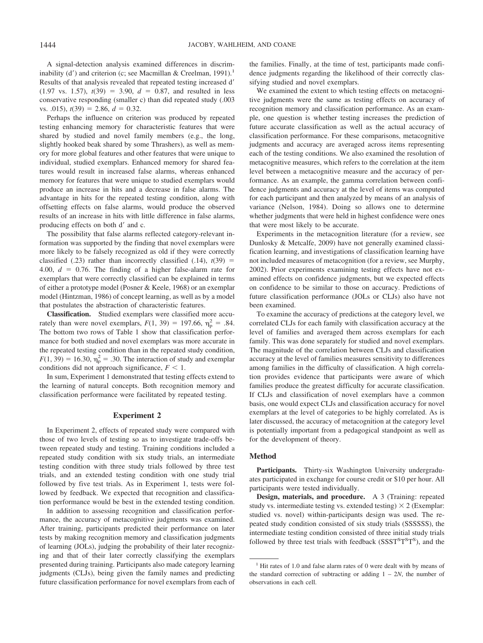A signal-detection analysis examined differences in discriminability (d') and criterion (c; see Macmillan & Creelman,  $1991$ ).<sup>1</sup> Results of that analysis revealed that repeated testing increased d  $(1.97 \text{ vs. } 1.57), t(39) = 3.90, d = 0.87, \text{ and resulted in less}$ conservative responding (smaller c) than did repeated study (.003 vs.  $.015$ ,  $t(39) = 2.86$ ,  $d = 0.32$ .

Perhaps the influence on criterion was produced by repeated testing enhancing memory for characteristic features that were shared by studied and novel family members (e.g., the long, slightly hooked beak shared by some Thrashers), as well as memory for more global features and other features that were unique to individual, studied exemplars. Enhanced memory for shared features would result in increased false alarms, whereas enhanced memory for features that were unique to studied exemplars would produce an increase in hits and a decrease in false alarms. The advantage in hits for the repeated testing condition, along with offsetting effects on false alarms, would produce the observed results of an increase in hits with little difference in false alarms, producing effects on both d' and c.

The possibility that false alarms reflected category-relevant information was supported by the finding that novel exemplars were more likely to be falsely recognized as old if they were correctly classified  $(.23)$  rather than incorrectly classified  $(.14)$ ,  $t(39)$  = 4.00,  $d = 0.76$ . The finding of a higher false-alarm rate for exemplars that were correctly classified can be explained in terms of either a prototype model (Posner & Keele, 1968) or an exemplar model (Hintzman, 1986) of concept learning, as well as by a model that postulates the abstraction of characteristic features.

**Classification.** Studied exemplars were classified more accurately than were novel exemplars,  $F(1, 39) = 197.66$ ,  $\eta_p^2 = .84$ . The bottom two rows of Table 1 show that classification performance for both studied and novel exemplars was more accurate in the repeated testing condition than in the repeated study condition,  $F(1, 39) = 16.30$ ,  $\eta_p^2 = .30$ . The interaction of study and exemplar conditions did not approach significance,  $F < 1$ .

In sum, Experiment 1 demonstrated that testing effects extend to the learning of natural concepts. Both recognition memory and classification performance were facilitated by repeated testing.

## **Experiment 2**

In Experiment 2, effects of repeated study were compared with those of two levels of testing so as to investigate trade-offs between repeated study and testing. Training conditions included a repeated study condition with six study trials, an intermediate testing condition with three study trials followed by three test trials, and an extended testing condition with one study trial followed by five test trials. As in Experiment 1, tests were followed by feedback. We expected that recognition and classification performance would be best in the extended testing condition.

In addition to assessing recognition and classification performance, the accuracy of metacognitive judgments was examined. After training, participants predicted their performance on later tests by making recognition memory and classification judgments of learning (JOLs), judging the probability of their later recognizing and that of their later correctly classifying the exemplars presented during training. Participants also made category learning judgments (CLJs), being given the family names and predicting future classification performance for novel exemplars from each of the families. Finally, at the time of test, participants made confidence judgments regarding the likelihood of their correctly classifying studied and novel exemplars.

We examined the extent to which testing effects on metacognitive judgments were the same as testing effects on accuracy of recognition memory and classification performance. As an example, one question is whether testing increases the prediction of future accurate classification as well as the actual accuracy of classification performance. For these comparisons, metacognitive judgments and accuracy are averaged across items representing each of the testing conditions. We also examined the resolution of metacognitive measures, which refers to the correlation at the item level between a metacognitive measure and the accuracy of performance. As an example, the gamma correlation between confidence judgments and accuracy at the level of items was computed for each participant and then analyzed by means of an analysis of variance (Nelson, 1984). Doing so allows one to determine whether judgments that were held in highest confidence were ones that were most likely to be accurate.

Experiments in the metacognition literature (for a review, see Dunlosky & Metcalfe, 2009) have not generally examined classification learning, and investigations of classification learning have not included measures of metacognition (for a review, see Murphy, 2002). Prior experiments examining testing effects have not examined effects on confidence judgments, but we expected effects on confidence to be similar to those on accuracy. Predictions of future classification performance (JOLs or CLJs) also have not been examined.

To examine the accuracy of predictions at the category level, we correlated CLJs for each family with classification accuracy at the level of families and averaged them across exemplars for each family. This was done separately for studied and novel exemplars. The magnitude of the correlation between CLJs and classification accuracy at the level of families measures sensitivity to differences among families in the difficulty of classification. A high correlation provides evidence that participants were aware of which families produce the greatest difficulty for accurate classification. If CLJs and classification of novel exemplars have a common basis, one would expect CLJs and classification accuracy for novel exemplars at the level of categories to be highly correlated. As is later discussed, the accuracy of metacognition at the category level is potentially important from a pedagogical standpoint as well as for the development of theory.

## **Method**

Participants. Thirty-six Washington University undergraduates participated in exchange for course credit or \$10 per hour. All participants were tested individually.

**Design, materials, and procedure.** A 3 (Training: repeated study vs. intermediate testing vs. extended testing)  $\times$  2 (Exemplar: studied vs. novel) within-participants design was used. The repeated study condition consisted of six study trials (SSSSSS), the intermediate testing condition consisted of three initial study trials followed by three test trials with feedback (SSST<sup>S</sup>T<sup>S</sup>T<sup>S</sup>), and the

 $1$ <sup>1</sup> Hit rates of 1.0 and false alarm rates of 0 were dealt with by means of the standard correction of subtracting or adding  $1 – 2N$ , the number of observations in each cell.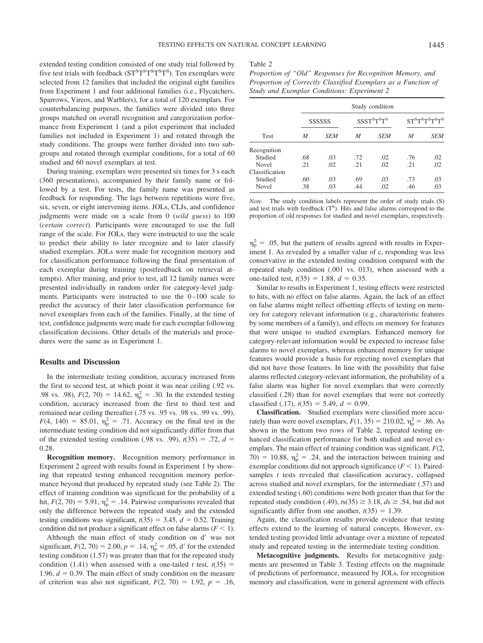extended testing condition consisted of one study trial followed by five test trials with feedback (ST<sup>S</sup>T<sup>S</sup>T<sup>S</sup>T<sup>S</sup>T<sup>S</sup>). Ten exemplars were selected from 12 families that included the original eight families from Experiment 1 and four additional families (i.e., Flycatchers, Sparrows, Vireos, and Warblers), for a total of 120 exemplars. For counterbalancing purposes, the families were divided into three groups matched on overall recognition and categorization performance from Experiment 1 (and a pilot experiment that included families not included in Experiment 1) and rotated through the study conditions. The groups were further divided into two subgroups and rotated through exemplar conditions, for a total of 60 studied and 60 novel exemplars at test.

During training, exemplars were presented six times for 3 s each (360 presentations), accompanied by their family name or followed by a test. For tests, the family name was presented as feedback for responding. The lags between repetitions were five, six, seven, or eight intervening items. JOLs, CLJs, and confidence judgments were made on a scale from 0 (*wild guess*) to 100 (*certain correct*). Participants were encouraged to use the full range of the scale. For JOLs, they were instructed to use the scale to predict their ability to later recognize and to later classify studied exemplars. JOLs were made for recognition memory and for classification performance following the final presentation of each exemplar during training (postfeedback on retrieval attempts). After training, and prior to test, all 12 family names were presented individually in random order for category-level judgments. Participants were instructed to use the  $0-100$  scale to predict the accuracy of their later classification performance for novel exemplars from each of the families. Finally, at the time of test, confidence judgments were made for each exemplar following classification decisions. Other details of the materials and procedures were the same as in Experiment 1.

## **Results and Discussion**

In the intermediate testing condition, accuracy increased from the first to second test, at which point it was near ceiling (.92 vs. .98 vs. .98),  $F(2, 70) = 14.62$ ,  $\eta_{\rm p}^2 = .30$ . In the extended testing condition, accuracy increased from the first to third test and remained near ceiling thereafter (.75 vs. .95 vs. .98 vs. .99 vs. .99),  $F(4, 140) = 85.01, \eta_p^2 = .71$ . Accuracy on the final test in the intermediate testing condition did not significantly differ from that of the extended testing condition (.98 vs. .99),  $t(35) = .72$ ,  $d =$ 0.28.

**Recognition memory.** Recognition memory performance in Experiment 2 agreed with results found in Experiment 1 by showing that repeated testing enhanced recognition memory performance beyond that produced by repeated study (see Table 2). The effect of training condition was significant for the probability of a hit,  $F(2, 70) = 5.91$ ,  $\eta_p^2 = .14$ . Pairwise comparisons revealed that only the difference between the repeated study and the extended testing conditions was significant,  $t(35) = 3.45$ ,  $d = 0.52$ . Training condition did not produce a significant effect on false alarms  $(F \le 1)$ .

Although the main effect of study condition on d'was not significant,  $F(2, 70) = 2.00$ ,  $p = .14$ ,  $\eta_p^2 = .05$ , d' for the extended testing condition (1.57) was greater than that for the repeated study condition (1.41) when assessed with a one-tailed *t* test,  $t(35)$  = 1.96,  $d = 0.39$ . The main effect of study condition on the measure of criterion was also not significant,  $F(2, 70) = 1.92$ ,  $p = .16$ ,

#### Table 2

| Proportion of "Old" Responses for Recognition Memory, and     |  |
|---------------------------------------------------------------|--|
| Proportion of Correctly Classified Exemplars as a Function of |  |
| Study and Exemplar Conditions: Experiment 2                   |  |

|                | Study condition |            |                                                 |     |                                                                             |            |  |  |
|----------------|-----------------|------------|-------------------------------------------------|-----|-----------------------------------------------------------------------------|------------|--|--|
|                | SSSSSS          |            | SSST <sup>S</sup> T <sup>S</sup> T <sup>S</sup> |     | ST <sup>S</sup> T <sup>S</sup> T <sup>S</sup> T <sup>S</sup> T <sup>S</sup> |            |  |  |
| <b>Test</b>    | M               | <b>SEM</b> | M                                               | SEM | M                                                                           | <b>SEM</b> |  |  |
| Recognition    |                 |            |                                                 |     |                                                                             |            |  |  |
| Studied        | .68             | .03        | .72                                             | .02 | .76                                                                         | .02        |  |  |
| <b>Novel</b>   | -21             | .02        | .21                                             | .02 | .21                                                                         | .02        |  |  |
| Classification |                 |            |                                                 |     |                                                                             |            |  |  |
| Studied        | .60             | .03        | .69                                             | .03 | .73                                                                         | .03        |  |  |
| Novel          | .38             | .03        | .44                                             | .02 | .46                                                                         | .03        |  |  |

*Note.* The study condition labels represent the order of study trials (S) and test trials with feedback  $(T<sup>S</sup>)$ . Hits and false alarms correspond to the proportion of old responses for studied and novel exemplars, respectively.

 $\eta_{\rm p}^2$  = .05, but the pattern of results agreed with results in Experiment 1. As revealed by a smaller value of c, responding was less conservative in the extended testing condition compared with the repeated study condition (.001 vs. 013), when assessed with a one-tailed test,  $t(35) = 1.88$ ,  $d = 0.35$ .

Similar to results in Experiment 1, testing effects were restricted to hits, with no effect on false alarms. Again, the lack of an effect on false alarms might reflect offsetting effects of testing on memory for category relevant information (e.g., characteristic features by some members of a family), and effects on memory for features that were unique to studied exemplars. Enhanced memory for category-relevant information would be expected to increase false alarms to novel exemplars, whereas enhanced memory for unique features would provide a basis for rejecting novel exemplars that did not have those features. In line with the possibility that false alarms reflected category-relevant information, the probability of a false alarm was higher for novel exemplars that were correctly classified (.28) than for novel exemplars that were not correctly classified  $(.17)$ ,  $t(35) = 5.49$ ,  $d = 0.99$ .

**Classification.** Studied exemplars were classified more accurately than were novel exemplars,  $F(1, 35) = 210.02$ ,  $\eta_{\rm p}^2 = .86$ . As shown in the bottom two rows of Table 2, repeated testing enhanced classification performance for both studied and novel exemplars. The main effect of training condition was significant, *F*(2,  $70) = 10.88$ ,  $\eta_p^2 = .24$ , and the interaction between training and exemplar conditions did not approach significance  $(F < 1)$ . Pairedsamples *t* tests revealed that classification accuracy, collapsed across studied and novel exemplars, for the intermediate (.57) and extended testing (.60) conditions were both greater than that for the repeated study condition (.49),  $t s(35) \ge 3.18$ ,  $ds \ge .54$ , but did not significantly differ from one another,  $t(35) = 1.39$ .

Again, the classification results provide evidence that testing effects extend to the learning of natural concepts. However, extended testing provided little advantage over a mixture of repeated study and repeated testing in the intermediate testing condition.

**Metacognitive judgments.** Results for metacognitive judgments are presented in Table 3. Testing effects on the magnitude of predictions of performance, measured by JOLs, for recognition memory and classification, were in general agreement with effects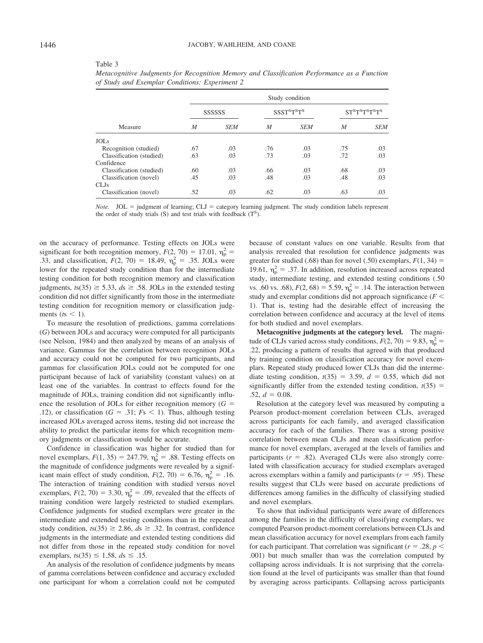|  |                                                |  | Metacognitive Judgments for Recognition Memory and Classification Performance as a Function |  |  |
|--|------------------------------------------------|--|---------------------------------------------------------------------------------------------|--|--|
|  | of Study and Exemplar Conditions: Experiment 2 |  |                                                                                             |  |  |

|                          |     |            |     | Study condition             |     |             |
|--------------------------|-----|------------|-----|-----------------------------|-----|-------------|
|                          |     | SSSSSS     |     | <b>SSST<sup>STS</sup>TS</b> |     | STSTSTSTSTS |
| Measure                  | M   | <b>SEM</b> | M   | <b>SEM</b>                  | M   | <b>SEM</b>  |
| <b>JOLs</b>              |     |            |     |                             |     |             |
| Recognition (studied)    | .67 | .03        | .76 | .03                         | .75 | .03         |
| Classification (studied) | .63 | .03        | .73 | .03                         | .72 | .03         |
| Confidence               |     |            |     |                             |     |             |
| Classification (studied) | .60 | .03        | .66 | .03                         | .68 | .03         |
| Classification (novel)   | .45 | .03        | .48 | .03                         | .48 | .03         |
| CL Js                    |     |            |     |                             |     |             |
| Classification (novel)   | .52 | .03        | .62 | .03                         | .63 | .03         |

*Note.*  $JOL =$  judgment of learning;  $CLJ =$  category learning judgment. The study condition labels represent the order of study trials (S) and test trials with feedback  $(T<sup>S</sup>)$ .

on the accuracy of performance. Testing effects on JOLs were significant for both recognition memory,  $F(2, 70) = 17.01$ ,  $\eta_p^2 =$ .33, and classification,  $F(2, 70) = 18.49$ ,  $\eta_p^2 = .35$ . JOLs were lower for the repeated study condition than for the intermediate testing condition for both recognition memory and classification judgments,  $t s(35) \ge 5.33$ ,  $ds \ge .58$ . JOLs in the extended testing condition did not differ significantly from those in the intermediate testing condition for recognition memory or classification judgments ( $ts < 1$ ).

To measure the resolution of predictions, gamma correlations (*G*) between JOLs and accuracy were computed for all participants (see Nelson, 1984) and then analyzed by means of an analysis of variance. Gammas for the correlation between recognition JOLs and accuracy could not be computed for two participants, and gammas for classification JOLs could not be computed for one participant because of lack of variability (constant values) on at least one of the variables. In contrast to effects found for the magnitude of JOLs, training condition did not significantly influence the resolution of JOLs for either recognition memory  $(G =$ .12), or classification ( $G = .31$ ;  $Fs < 1$ ). Thus, although testing increased JOLs averaged across items, testing did not increase the ability to predict the particular items for which recognition memory judgments or classification would be accurate.

Confidence in classification was higher for studied than for novel exemplars,  $F(1, 35) = 247.79$ ,  $\eta_p^2 = .88$ . Testing effects on the magnitude of confidence judgments were revealed by a significant main effect of study condition,  $F(2, 70) = 6.76$ ,  $\eta_p^2 = .16$ . The interaction of training condition with studied versus novel exemplars,  $F(2, 70) = 3.30$ ,  $\eta_p^2 = .09$ , revealed that the effects of training condition were largely restricted to studied exemplars. Confidence judgments for studied exemplars were greater in the intermediate and extended testing conditions than in the repeated study condition,  $t s(35) \ge 2.86$ ,  $ds \ge .32$ . In contrast, confidence judgments in the intermediate and extended testing conditions did not differ from those in the repeated study condition for novel exemplars,  $t s(35) \le 1.58$ ,  $ds \le .15$ .

An analysis of the resolution of confidence judgments by means of gamma correlations between confidence and accuracy excluded one participant for whom a correlation could not be computed

because of constant values on one variable. Results from that analysis revealed that resolution for confidence judgments was greater for studied (.68) than for novel (.50) exemplars,  $F(1, 34) =$ 19.61,  $\eta_p^2 = .37$ . In addition, resolution increased across repeated study, intermediate testing, and extended testing conditions (.50 vs. .60 vs. .68),  $F(2, 68) = 5.59$ ,  $\eta_p^2 = .14$ . The interaction between study and exemplar conditions did not approach significance (*F* 1). That is, testing had the desirable effect of increasing the correlation between confidence and accuracy at the level of items for both studied and novel exemplars.

**Metacognitive judgments at the category level.** The magnitude of CLJs varied across study conditions,  $F(2, 70) = 9.83$ ,  $\eta_p^2 =$ .22, producing a pattern of results that agreed with that produced by training condition on classification accuracy for novel exemplars. Repeated study produced lower CLJs than did the intermediate testing condition,  $t(35) = 3.59$ ,  $d = 0.55$ , which did not significantly differ from the extended testing condition,  $t(35)$  =  $.52, d = 0.08.$ 

Resolution at the category level was measured by computing a Pearson product-moment correlation between CLJs, averaged across participants for each family, and averaged classification accuracy for each of the families. There was a strong positive correlation between mean CLJs and mean classification performance for novel exemplars, averaged at the levels of families and participants  $(r = .82)$ . Averaged CLJs were also strongly correlated with classification accuracy for studied exemplars averaged across exemplars within a family and participants  $(r = .95)$ . These results suggest that CLJs were based on accurate predictions of differences among families in the difficulty of classifying studied and novel exemplars.

To show that individual participants were aware of differences among the families in the difficulty of classifying exemplars, we computed Pearson product-moment correlations between CLJs and mean classification accuracy for novel exemplars from each family for each participant. That correlation was significant ( $r = .28$ ,  $p <$ .001) but much smaller than was the correlation computed by collapsing across individuals. It is not surprising that the correlation found at the level of participants was smaller than that found by averaging across participants. Collapsing across participants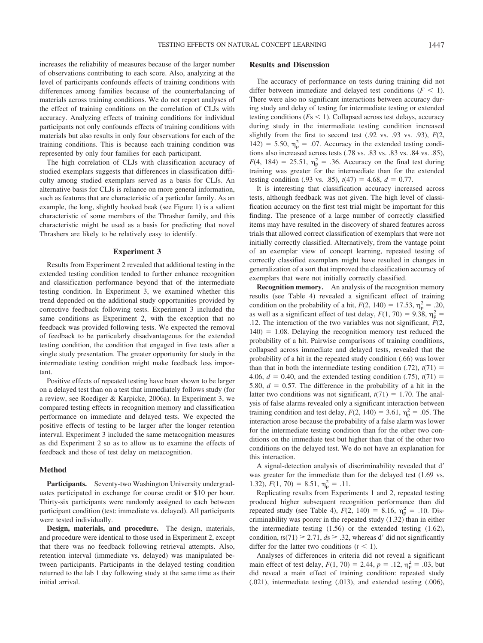increases the reliability of measures because of the larger number of observations contributing to each score. Also, analyzing at the level of participants confounds effects of training conditions with differences among families because of the counterbalancing of materials across training conditions. We do not report analyses of the effect of training conditions on the correlation of CLJs with accuracy. Analyzing effects of training conditions for individual participants not only confounds effects of training conditions with materials but also results in only four observations for each of the training conditions. This is because each training condition was represented by only four families for each participant.

The high correlation of CLJs with classification accuracy of studied exemplars suggests that differences in classification difficulty among studied exemplars served as a basis for CLJs. An alternative basis for CLJs is reliance on more general information, such as features that are characteristic of a particular family. As an example, the long, slightly hooked beak (see Figure 1) is a salient characteristic of some members of the Thrasher family, and this characteristic might be used as a basis for predicting that novel Thrashers are likely to be relatively easy to identify.

#### **Experiment 3**

Results from Experiment 2 revealed that additional testing in the extended testing condition tended to further enhance recognition and classification performance beyond that of the intermediate testing condition. In Experiment 3, we examined whether this trend depended on the additional study opportunities provided by corrective feedback following tests. Experiment 3 included the same conditions as Experiment 2, with the exception that no feedback was provided following tests. We expected the removal of feedback to be particularly disadvantageous for the extended testing condition, the condition that engaged in five tests after a single study presentation. The greater opportunity for study in the intermediate testing condition might make feedback less important.

Positive effects of repeated testing have been shown to be larger on a delayed test than on a test that immediately follows study (for a review, see Roediger & Karpicke, 2006a). In Experiment 3, we compared testing effects in recognition memory and classification performance on immediate and delayed tests. We expected the positive effects of testing to be larger after the longer retention interval. Experiment 3 included the same metacognition measures as did Experiment 2 so as to allow us to examine the effects of feedback and those of test delay on metacognition.

#### **Method**

Participants. Seventy-two Washington University undergraduates participated in exchange for course credit or \$10 per hour. Thirty-six participants were randomly assigned to each between participant condition (test: immediate vs. delayed). All participants were tested individually.

**Design, materials, and procedure.** The design, materials, and procedure were identical to those used in Experiment 2, except that there was no feedback following retrieval attempts. Also, retention interval (immediate vs. delayed) was manipulated between participants. Participants in the delayed testing condition returned to the lab 1 day following study at the same time as their initial arrival.

# **Results and Discussion**

The accuracy of performance on tests during training did not differ between immediate and delayed test conditions  $(F < 1)$ . There were also no significant interactions between accuracy during study and delay of testing for intermediate testing or extended testing conditions ( $Fs < 1$ ). Collapsed across test delays, accuracy during study in the intermediate testing condition increased slightly from the first to second test (.92 vs. .93 vs. .93), *F*(2,  $142$ ) = 5.50,  $\eta_p^2$  = .07. Accuracy in the extended testing conditions also increased across tests (.78 vs. .83 vs. .83 vs. .84 vs. .85),  $F(4, 184) = 25.51, \eta_p^2 = .36$ . Accuracy on the final test during training was greater for the intermediate than for the extended testing condition (.93 vs. .85),  $t(47) = 4.68$ ,  $d = 0.77$ .

It is interesting that classification accuracy increased across tests, although feedback was not given. The high level of classification accuracy on the first test trial might be important for this finding. The presence of a large number of correctly classified items may have resulted in the discovery of shared features across trials that allowed correct classification of exemplars that were not initially correctly classified. Alternatively, from the vantage point of an exemplar view of concept learning, repeated testing of correctly classified exemplars might have resulted in changes in generalization of a sort that improved the classification accuracy of exemplars that were not initially correctly classified.

**Recognition memory.** An analysis of the recognition memory results (see Table 4) revealed a significant effect of training condition on the probability of a hit,  $F(2, 140) = 17.53$ ,  $\eta_p^2 = .20$ , as well as a significant effect of test delay,  $F(1, 70) = 9.38$ ,  $\eta_p^2 =$ .12. The interaction of the two variables was not significant, *F*(2,  $140$ ) = 1.08. Delaying the recognition memory test reduced the probability of a hit. Pairwise comparisons of training conditions, collapsed across immediate and delayed tests, revealed that the probability of a hit in the repeated study condition (.66) was lower than that in both the intermediate testing condition  $(0.72)$ ,  $t(71) =$ 4.06,  $d = 0.40$ , and the extended testing condition (.75),  $t(71) =$ 5.80,  $d = 0.57$ . The difference in the probability of a hit in the latter two conditions was not significant,  $t(71) = 1.70$ . The analysis of false alarms revealed only a significant interaction between training condition and test delay,  $F(2, 140) = 3.61$ ,  $\eta_{\rm p}^2 = .05$ . The interaction arose because the probability of a false alarm was lower for the intermediate testing condition than for the other two conditions on the immediate test but higher than that of the other two conditions on the delayed test. We do not have an explanation for this interaction.

A signal-detection analysis of discriminability revealed that d was greater for the immediate than for the delayed test (1.69 vs. 1.32),  $F(1, 70) = 8.51$ ,  $\eta_p^2 = .11$ .

Replicating results from Experiments 1 and 2, repeated testing produced higher subsequent recognition performance than did repeated study (see Table 4),  $F(2, 140) = 8.16$ ,  $\eta_p^2 = .10$ . Discriminability was poorer in the repeated study (1.32) than in either the intermediate testing (1.56) or the extended testing (1.62), condition,  $t s(71) \ge 2.71$ ,  $ds \ge .32$ , whereas d' did not significantly differ for the latter two conditions  $(t < 1)$ .

Analyses of differences in criteria did not reveal a significant main effect of test delay,  $F(1, 70) = 2.44$ ,  $p = .12$ ,  $\eta_p^2 = .03$ , but did reveal a main effect of training condition: repeated study (.021), intermediate testing (.013), and extended testing (.006),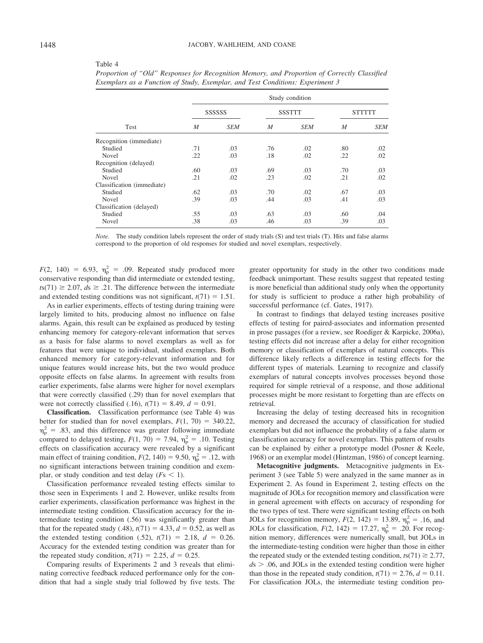| anie |  |
|------|--|
|------|--|

|                            | Study condition  |            |                  |               |                  |                |  |  |
|----------------------------|------------------|------------|------------------|---------------|------------------|----------------|--|--|
|                            |                  | SSSSSS     |                  | <b>SSSTTT</b> |                  | <b>STTTTTT</b> |  |  |
| Test                       | $\boldsymbol{M}$ | <b>SEM</b> | $\boldsymbol{M}$ | <b>SEM</b>    | $\boldsymbol{M}$ | <b>SEM</b>     |  |  |
| Recognition (immediate)    |                  |            |                  |               |                  |                |  |  |
| Studied                    | .71              | .03        | .76              | .02           | .80              | .02            |  |  |
| Novel                      | .22              | .03        | .18              | .02           | .22              | .02            |  |  |
| Recognition (delayed)      |                  |            |                  |               |                  |                |  |  |
| Studied                    | .60              | .03        | .69              | .03           | .70              | .03            |  |  |
| <b>Novel</b>               | .21              | .02        | .23              | .02           | .21              | .02            |  |  |
| Classification (immediate) |                  |            |                  |               |                  |                |  |  |
| Studied                    | .62              | .03        | .70              | .02           | .67              | .03            |  |  |
| <b>Novel</b>               | .39              | .03        | .44              | .03           | .41              | .03            |  |  |
| Classification (delayed)   |                  |            |                  |               |                  |                |  |  |
| Studied                    | .55              | .03        | .63              | .03           | .60              | .04            |  |  |
| Novel                      | .38              | .03        | .46              | .03           | .39              | .03            |  |  |
|                            |                  |            |                  |               |                  |                |  |  |

| Proportion of "Old" Responses for Recognition Memory, and Proportion of Correctly Classified |  |  |
|----------------------------------------------------------------------------------------------|--|--|
| Exemplars as a Function of Study, Exemplar, and Test Conditions: Experiment 3                |  |  |

*Note.* The study condition labels represent the order of study trials (S) and test trials (T). Hits and false alarms correspond to the proportion of old responses for studied and novel exemplars, respectively.

 $F(2, 140) = 6.93, \eta_p^2 = .09$ . Repeated study produced more conservative responding than did intermediate or extended testing,  $t s(71) \ge 2.07$ ,  $ds \ge .21$ . The difference between the intermediate and extended testing conditions was not significant,  $t(71) = 1.51$ .

As in earlier experiments, effects of testing during training were largely limited to hits, producing almost no influence on false alarms. Again, this result can be explained as produced by testing enhancing memory for category-relevant information that serves as a basis for false alarms to novel exemplars as well as for features that were unique to individual, studied exemplars. Both enhanced memory for category-relevant information and for unique features would increase hits, but the two would produce opposite effects on false alarms. In agreement with results from earlier experiments, false alarms were higher for novel exemplars that were correctly classified (.29) than for novel exemplars that were not correctly classified (.16),  $t(71) = 8.49$ ,  $d = 0.91$ .

**Classification.** Classification performance (see Table 4) was better for studied than for novel exemplars,  $F(1, 70) = 340.22$ ,  $\eta_{\rm p}^2$  = .83, and this difference was greater following immediate compared to delayed testing,  $F(1, 70) = 7.94$ ,  $\eta_p^2 = .10$ . Testing effects on classification accuracy were revealed by a significant main effect of training condition,  $F(2, 140) = 9.50$ ,  $\eta_p^2 = .12$ , with no significant interactions between training condition and exemplar, or study condition and test delay  $(Fs \leq 1)$ .

Classification performance revealed testing effects similar to those seen in Experiments 1 and 2. However, unlike results from earlier experiments, classification performance was highest in the intermediate testing condition. Classification accuracy for the intermediate testing condition (.56) was significantly greater than that for the repeated study (.48),  $t(71) = 4.33$ ,  $d = 0.52$ , as well as the extended testing condition (.52),  $t(71) = 2.18$ ,  $d = 0.26$ . Accuracy for the extended testing condition was greater than for the repeated study condition,  $t(71) = 2.25$ ,  $d = 0.25$ .

Comparing results of Experiments 2 and 3 reveals that eliminating corrective feedback reduced performance only for the condition that had a single study trial followed by five tests. The greater opportunity for study in the other two conditions made feedback unimportant. These results suggest that repeated testing is more beneficial than additional study only when the opportunity for study is sufficient to produce a rather high probability of successful performance (cf. Gates, 1917).

In contrast to findings that delayed testing increases positive effects of testing for paired-associates and information presented in prose passages (for a review, see Roediger & Karpicke, 2006a), testing effects did not increase after a delay for either recognition memory or classification of exemplars of natural concepts. This difference likely reflects a difference in testing effects for the different types of materials. Learning to recognize and classify exemplars of natural concepts involves processes beyond those required for simple retrieval of a response, and those additional processes might be more resistant to forgetting than are effects on retrieval.

Increasing the delay of testing decreased hits in recognition memory and decreased the accuracy of classification for studied exemplars but did not influence the probability of a false alarm or classification accuracy for novel exemplars. This pattern of results can be explained by either a prototype model (Posner & Keele, 1968) or an exemplar model (Hintzman, 1986) of concept learning.

**Metacognitive judgments.** Metacognitive judgments in Experiment 3 (see Table 5) were analyzed in the same manner as in Experiment 2. As found in Experiment 2, testing effects on the magnitude of JOLs for recognition memory and classification were in general agreement with effects on accuracy of responding for the two types of test. There were significant testing effects on both JOLs for recognition memory,  $F(2, 142) = 13.89$ ,  $\eta_p^2 = .16$ , and JOLs for classification,  $F(2, 142) = 17.27$ ,  $\eta_p^2 = .20$ . For recognition memory, differences were numerically small, but JOLs in the intermediate-testing condition were higher than those in either the repeated study or the extended testing condition,  $t s(71) \ge 2.77$ ,  $ds$   $>$  .06, and JOLs in the extended testing condition were higher than those in the repeated study condition,  $t(71) = 2.76$ ,  $d = 0.11$ . For classification JOLs, the intermediate testing condition pro-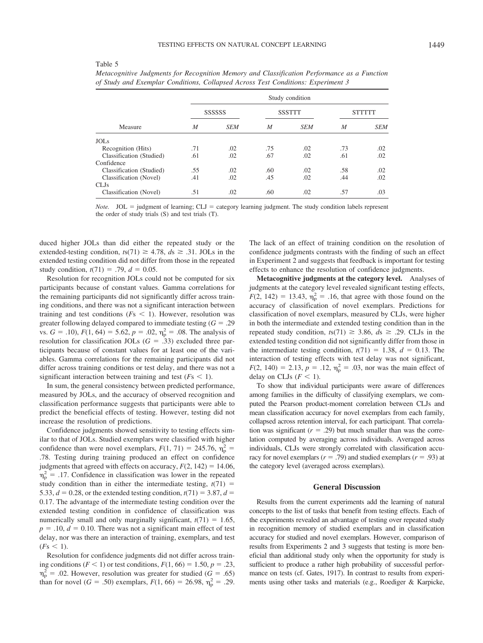#### Table 5

|                          |                | Study condition |                |               |                |               |  |
|--------------------------|----------------|-----------------|----------------|---------------|----------------|---------------|--|
| Measure                  |                | SSSSSS          |                | <b>SSSTTT</b> |                | <b>STTTTT</b> |  |
|                          | $\overline{M}$ | <b>SEM</b>      | $\overline{M}$ | <b>SEM</b>    | $\overline{M}$ | <b>SEM</b>    |  |
| <b>JOLs</b>              |                |                 |                |               |                |               |  |
| Recognition (Hits)       | .71            | .02             | .75            | .02           | .73            | .02           |  |
| Classification (Studied) | .61            | .02             | .67            | .02           | .61            | .02           |  |
| Confidence               |                |                 |                |               |                |               |  |
| Classification (Studied) | .55            | .02             | .60            | .02           | .58            | .02           |  |
| Classification (Novel)   | .41            | .02             | .45            | .02           | .44            | .02           |  |
| CL Js                    |                |                 |                |               |                |               |  |
| Classification (Novel)   | .51            | .02             | .60            | .02           | .57            | .03           |  |

*Metacognitive Judgments for Recognition Memory and Classification Performance as a Function of Study and Exemplar Conditions, Collapsed Across Test Conditions: Experiment 3*

*Note.*  $JOL =$  judgment of learning;  $CLJ =$  category learning judgment. The study condition labels represent the order of study trials (S) and test trials (T).

duced higher JOLs than did either the repeated study or the extended-testing condition,  $t s(71) \ge 4.78$ ,  $ds \ge .31$ . JOLs in the extended testing condition did not differ from those in the repeated study condition,  $t(71) = .79$ ,  $d = 0.05$ .

Resolution for recognition JOLs could not be computed for six participants because of constant values. Gamma correlations for the remaining participants did not significantly differ across training conditions, and there was not a significant interaction between training and test conditions ( $Fs < 1$ ). However, resolution was greater following delayed compared to immediate testing  $(G = .29)$ vs.  $G = .10$ ,  $F(1, 64) = 5.62$ ,  $p = .02$ ,  $\eta_p^2 = .08$ . The analysis of resolution for classification JOLs  $(G = .33)$  excluded three participants because of constant values for at least one of the variables. Gamma correlations for the remaining participants did not differ across training conditions or test delay, and there was not a significant interaction between training and test  $(Fs \leq 1)$ .

In sum, the general consistency between predicted performance, measured by JOLs, and the accuracy of observed recognition and classification performance suggests that participants were able to predict the beneficial effects of testing. However, testing did not increase the resolution of predictions.

Confidence judgments showed sensitivity to testing effects similar to that of JOLs. Studied exemplars were classified with higher confidence than were novel exemplars,  $F(1, 71) = 245.76$ ,  $\eta_p^2 =$ .78. Testing during training produced an effect on confidence judgments that agreed with effects on accuracy,  $F(2, 142) = 14.06$ ,  $\eta_{\rm p}^2$  = .17. Confidence in classification was lower in the repeated study condition than in either the intermediate testing,  $t(71)$  = 5.33,  $d = 0.28$ , or the extended testing condition,  $t(71) = 3.87$ ,  $d =$ 0.17. The advantage of the intermediate testing condition over the extended testing condition in confidence of classification was numerically small and only marginally significant,  $t(71) = 1.65$ ,  $p = .10$ ,  $d = 0.10$ . There was not a significant main effect of test delay, nor was there an interaction of training, exemplars, and test  $(Fs \leq 1)$ .

Resolution for confidence judgments did not differ across training conditions ( $F < 1$ ) or test conditions,  $F(1, 66) = 1.50$ ,  $p = .23$ ,  $\eta_{\rm p}^2$  = .02. However, resolution was greater for studied (*G* = .65) than for novel (*G* = .50) exemplars,  $F(1, 66) = 26.98$ ,  $\eta_p^2 = .29$ . The lack of an effect of training condition on the resolution of confidence judgments contrasts with the finding of such an effect in Experiment 2 and suggests that feedback is important for testing effects to enhance the resolution of confidence judgments.

**Metacognitive judgments at the category level.** Analyses of judgments at the category level revealed significant testing effects,  $F(2, 142) = 13.43$ ,  $\eta_p^2 = .16$ , that agree with those found on the accuracy of classification of novel exemplars. Predictions for classification of novel exemplars, measured by CLJs, were higher in both the intermediate and extended testing condition than in the repeated study condition,  $t s(71) \geq 3.86$ ,  $ds \geq .29$ . CLJs in the extended testing condition did not significantly differ from those in the intermediate testing condition,  $t(71) = 1.38$ ,  $d = 0.13$ . The interaction of testing effects with test delay was not significant,  $F(2, 140) = 2.13, p = .12, \eta_p^2 = .03$ , nor was the main effect of delay on CLJs  $(F \leq 1)$ .

To show that individual participants were aware of differences among families in the difficulty of classifying exemplars, we computed the Pearson product-moment correlation between CLJs and mean classification accuracy for novel exemplars from each family, collapsed across retention interval, for each participant. That correlation was significant  $(r = .29)$  but much smaller than was the correlation computed by averaging across individuals. Averaged across individuals, CLJs were strongly correlated with classification accuracy for novel exemplars ( $r = .79$ ) and studied exemplars ( $r = .93$ ) at the category level (averaged across exemplars).

# **General Discussion**

Results from the current experiments add the learning of natural concepts to the list of tasks that benefit from testing effects. Each of the experiments revealed an advantage of testing over repeated study in recognition memory of studied exemplars and in classification accuracy for studied and novel exemplars. However, comparison of results from Experiments 2 and 3 suggests that testing is more beneficial than additional study only when the opportunity for study is sufficient to produce a rather high probability of successful performance on tests (cf. Gates, 1917). In contrast to results from experiments using other tasks and materials (e.g., Roediger & Karpicke,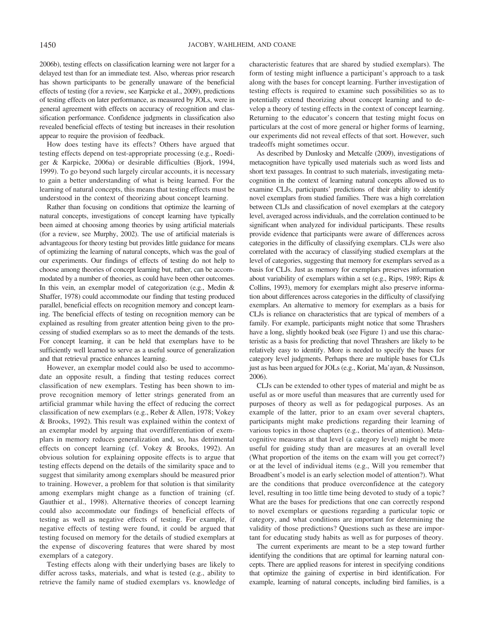2006b), testing effects on classification learning were not larger for a delayed test than for an immediate test. Also, whereas prior research has shown participants to be generally unaware of the beneficial effects of testing (for a review, see Karpicke et al., 2009), predictions of testing effects on later performance, as measured by JOLs, were in general agreement with effects on accuracy of recognition and classification performance. Confidence judgments in classification also revealed beneficial effects of testing but increases in their resolution appear to require the provision of feedback.

How does testing have its effects? Others have argued that testing effects depend on test-appropriate processing (e.g., Roediger & Karpicke, 2006a) or desirable difficulties (Bjork, 1994, 1999). To go beyond such largely circular accounts, it is necessary to gain a better understanding of what is being learned. For the learning of natural concepts, this means that testing effects must be understood in the context of theorizing about concept learning.

Rather than focusing on conditions that optimize the learning of natural concepts, investigations of concept learning have typically been aimed at choosing among theories by using artificial materials (for a review, see Murphy, 2002). The use of artificial materials is advantageous for theory testing but provides little guidance for means of optimizing the learning of natural concepts, which was the goal of our experiments. Our findings of effects of testing do not help to choose among theories of concept learning but, rather, can be accommodated by a number of theories, as could have been other outcomes. In this vein, an exemplar model of categorization (e.g., Medin & Shaffer, 1978) could accommodate our finding that testing produced parallel, beneficial effects on recognition memory and concept learning. The beneficial effects of testing on recognition memory can be explained as resulting from greater attention being given to the processing of studied exemplars so as to meet the demands of the tests. For concept learning, it can be held that exemplars have to be sufficiently well learned to serve as a useful source of generalization and that retrieval practice enhances learning.

However, an exemplar model could also be used to accommodate an opposite result, a finding that testing reduces correct classification of new exemplars. Testing has been shown to improve recognition memory of letter strings generated from an artificial grammar while having the effect of reducing the correct classification of new exemplars (e.g., Reber & Allen, 1978; Vokey & Brooks, 1992). This result was explained within the context of an exemplar model by arguing that overdifferentiation of exemplars in memory reduces generalization and, so, has detrimental effects on concept learning (cf. Vokey & Brooks, 1992). An obvious solution for explaining opposite effects is to argue that testing effects depend on the details of the similarity space and to suggest that similarity among exemplars should be measured prior to training. However, a problem for that solution is that similarity among exemplars might change as a function of training (cf. Gauthier et al., 1998). Alternative theories of concept learning could also accommodate our findings of beneficial effects of testing as well as negative effects of testing. For example, if negative effects of testing were found, it could be argued that testing focused on memory for the details of studied exemplars at the expense of discovering features that were shared by most exemplars of a category.

Testing effects along with their underlying bases are likely to differ across tasks, materials, and what is tested (e.g., ability to retrieve the family name of studied exemplars vs. knowledge of characteristic features that are shared by studied exemplars). The form of testing might influence a participant's approach to a task along with the bases for concept learning. Further investigation of testing effects is required to examine such possibilities so as to potentially extend theorizing about concept learning and to develop a theory of testing effects in the context of concept learning. Returning to the educator's concern that testing might focus on particulars at the cost of more general or higher forms of learning, our experiments did not reveal effects of that sort. However, such tradeoffs might sometimes occur.

As described by Dunlosky and Metcalfe (2009), investigations of metacognition have typically used materials such as word lists and short text passages. In contrast to such materials, investigating metacognition in the context of learning natural concepts allowed us to examine CLJs, participants' predictions of their ability to identify novel exemplars from studied families. There was a high correlation between CLJs and classification of novel exemplars at the category level, averaged across individuals, and the correlation continued to be significant when analyzed for individual participants. These results provide evidence that participants were aware of differences across categories in the difficulty of classifying exemplars. CLJs were also correlated with the accuracy of classifying studied exemplars at the level of categories, suggesting that memory for exemplars served as a basis for CLJs. Just as memory for exemplars preserves information about variability of exemplars within a set (e.g., Rips, 1989; Rips & Collins, 1993), memory for exemplars might also preserve information about differences across categories in the difficulty of classifying exemplars. An alternative to memory for exemplars as a basis for CLJs is reliance on characteristics that are typical of members of a family. For example, participants might notice that some Thrashers have a long, slightly hooked beak (see Figure 1) and use this characteristic as a basis for predicting that novel Thrashers are likely to be relatively easy to identify. More is needed to specify the bases for category level judgments. Perhaps there are multiple bases for CLJs just as has been argued for JOLs (e.g., Koriat, Ma'ayan, & Nussinson, 2006).

CLJs can be extended to other types of material and might be as useful as or more useful than measures that are currently used for purposes of theory as well as for pedagogical purposes. As an example of the latter, prior to an exam over several chapters, participants might make predictions regarding their learning of various topics in those chapters (e.g., theories of attention). Metacognitive measures at that level (a category level) might be more useful for guiding study than are measures at an overall level (What proportion of the items on the exam will you get correct?) or at the level of individual items (e.g., Will you remember that Broadbent's model is an early selection model of attention?). What are the conditions that produce overconfidence at the category level, resulting in too little time being devoted to study of a topic? What are the bases for predictions that one can correctly respond to novel exemplars or questions regarding a particular topic or category, and what conditions are important for determining the validity of those predictions? Questions such as these are important for educating study habits as well as for purposes of theory.

The current experiments are meant to be a step toward further identifying the conditions that are optimal for learning natural concepts. There are applied reasons for interest in specifying conditions that optimize the gaining of expertise in bird identification. For example, learning of natural concepts, including bird families, is a